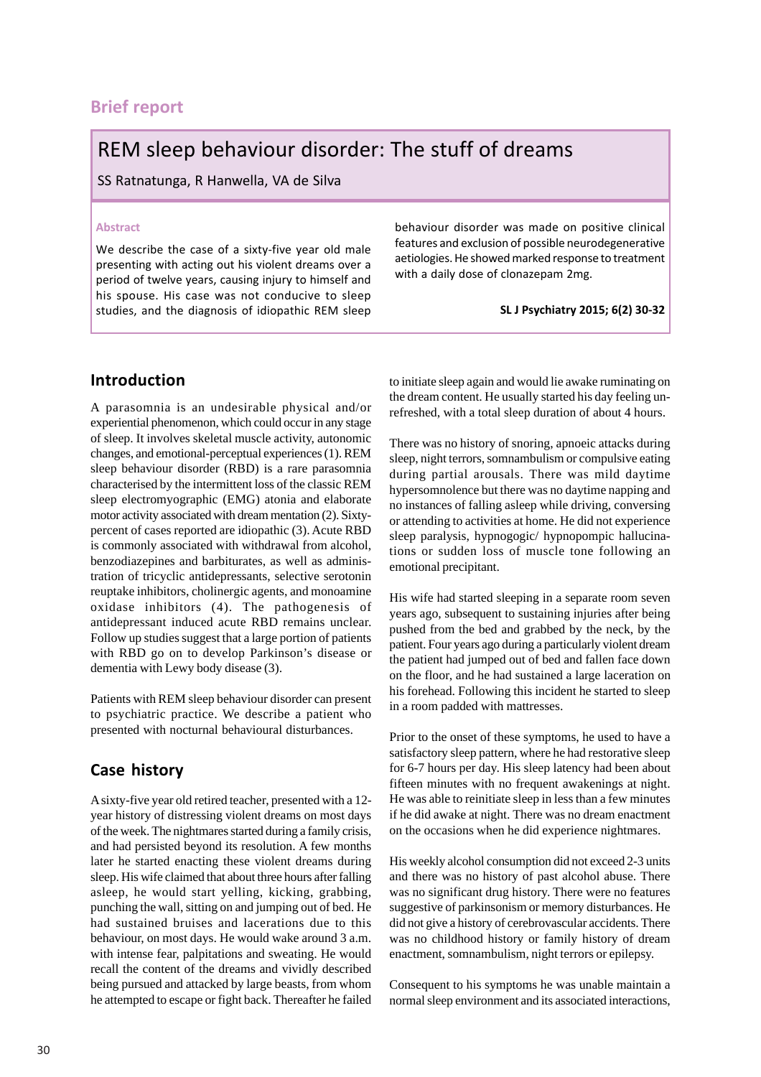## **Brief report**

# REM sleep behaviour disorder: The stuff of dreams

SS Ratnatunga, R Hanwella, VA de Silva

#### **Abstract**

We describe the case of a sixty-five year old male presenting with acting out his violent dreams over a period of twelve years, causing injury to himself and his spouse. His case was not conducive to sleep studies, and the diagnosis of idiopathic REM sleep behaviour disorder was made on positive clinical features and exclusion of possible neurodegenerative aetiologies. He showed marked response to treatment with a daily dose of clonazepam 2mg.

**SL J Psychiatry 2015; 6(2) 30-32**

#### **Introduction**

A parasomnia is an undesirable physical and/or experiential phenomenon, which could occur in any stage of sleep. It involves skeletal muscle activity, autonomic changes, and emotional-perceptual experiences (1). REM sleep behaviour disorder (RBD) is a rare parasomnia characterised by the intermittent loss of the classic REM sleep electromyographic (EMG) atonia and elaborate motor activity associated with dream mentation (2). Sixtypercent of cases reported are idiopathic (3). Acute RBD is commonly associated with withdrawal from alcohol, benzodiazepines and barbiturates, as well as administration of tricyclic antidepressants, selective serotonin reuptake inhibitors, cholinergic agents, and monoamine oxidase inhibitors (4). The pathogenesis of antidepressant induced acute RBD remains unclear. Follow up studies suggest that a large portion of patients with RBD go on to develop Parkinson's disease or dementia with Lewy body disease (3).

Patients with REM sleep behaviour disorder can present to psychiatric practice. We describe a patient who presented with nocturnal behavioural disturbances.

#### **Case history**

A sixty-five year old retired teacher, presented with a 12 year history of distressing violent dreams on most days of the week. The nightmares started during a family crisis, and had persisted beyond its resolution. A few months later he started enacting these violent dreams during sleep. His wife claimed that about three hours after falling asleep, he would start yelling, kicking, grabbing, punching the wall, sitting on and jumping out of bed. He had sustained bruises and lacerations due to this behaviour, on most days. He would wake around 3 a.m. with intense fear, palpitations and sweating. He would recall the content of the dreams and vividly described being pursued and attacked by large beasts, from whom he attempted to escape or fight back. Thereafter he failed to initiate sleep again and would lie awake ruminating on the dream content. He usually started his day feeling unrefreshed, with a total sleep duration of about 4 hours.

There was no history of snoring, apnoeic attacks during sleep, night terrors, somnambulism or compulsive eating during partial arousals. There was mild daytime hypersomnolence but there was no daytime napping and no instances of falling asleep while driving, conversing or attending to activities at home. He did not experience sleep paralysis, hypnogogic/ hypnopompic hallucinations or sudden loss of muscle tone following an emotional precipitant.

His wife had started sleeping in a separate room seven years ago, subsequent to sustaining injuries after being pushed from the bed and grabbed by the neck, by the patient. Four years ago during a particularly violent dream the patient had jumped out of bed and fallen face down on the floor, and he had sustained a large laceration on his forehead. Following this incident he started to sleep in a room padded with mattresses.

Prior to the onset of these symptoms, he used to have a satisfactory sleep pattern, where he had restorative sleep for 6-7 hours per day. His sleep latency had been about fifteen minutes with no frequent awakenings at night. He was able to reinitiate sleep in less than a few minutes if he did awake at night. There was no dream enactment on the occasions when he did experience nightmares.

His weekly alcohol consumption did not exceed 2-3 units and there was no history of past alcohol abuse. There was no significant drug history. There were no features suggestive of parkinsonism or memory disturbances. He did not give a history of cerebrovascular accidents. There was no childhood history or family history of dream enactment, somnambulism, night terrors or epilepsy.

Consequent to his symptoms he was unable maintain a normal sleep environment and its associated interactions,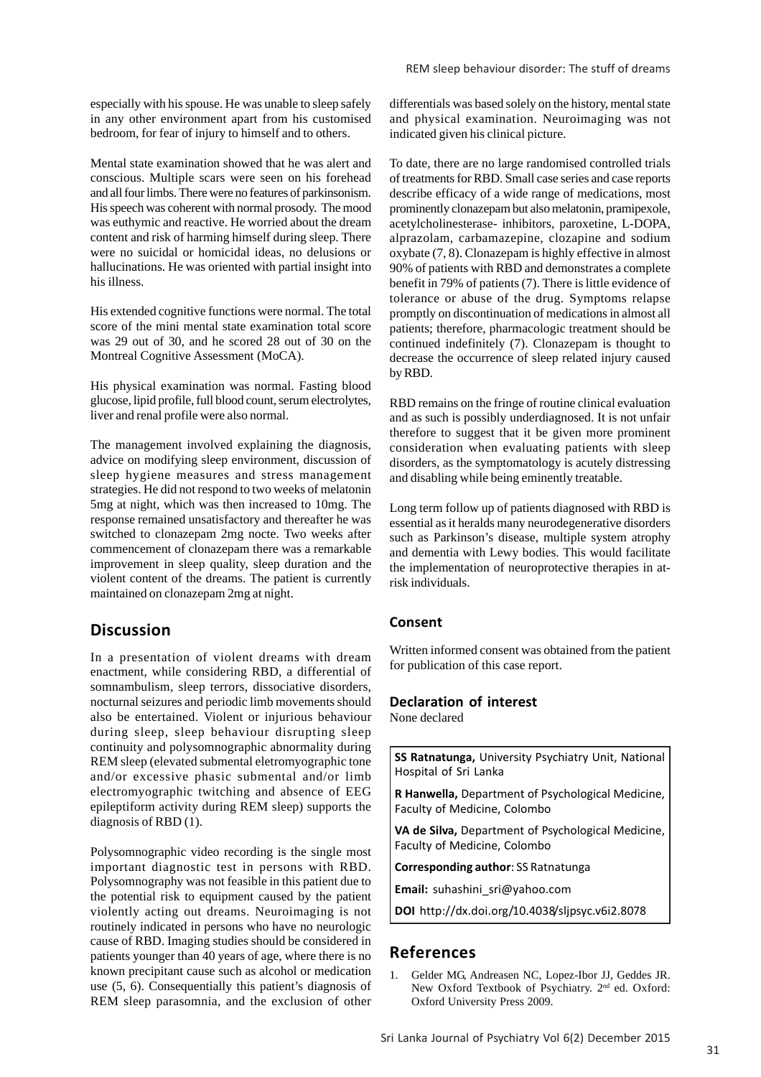especially with his spouse. He was unable to sleep safely in any other environment apart from his customised bedroom, for fear of injury to himself and to others.

Mental state examination showed that he was alert and conscious. Multiple scars were seen on his forehead and all four limbs. There were no features of parkinsonism. His speech was coherent with normal prosody. The mood was euthymic and reactive. He worried about the dream content and risk of harming himself during sleep. There were no suicidal or homicidal ideas, no delusions or hallucinations. He was oriented with partial insight into his illness.

His extended cognitive functions were normal. The total score of the mini mental state examination total score was 29 out of 30, and he scored 28 out of 30 on the Montreal Cognitive Assessment (MoCA).

His physical examination was normal. Fasting blood glucose, lipid profile, full blood count, serum electrolytes, liver and renal profile were also normal.

The management involved explaining the diagnosis, advice on modifying sleep environment, discussion of sleep hygiene measures and stress management strategies. He did not respond to two weeks of melatonin 5mg at night, which was then increased to 10mg. The response remained unsatisfactory and thereafter he was switched to clonazepam 2mg nocte. Two weeks after commencement of clonazepam there was a remarkable improvement in sleep quality, sleep duration and the violent content of the dreams. The patient is currently maintained on clonazepam 2mg at night.

#### **Discussion**

In a presentation of violent dreams with dream enactment, while considering RBD, a differential of somnambulism, sleep terrors, dissociative disorders, nocturnal seizures and periodic limb movements should also be entertained. Violent or injurious behaviour during sleep, sleep behaviour disrupting sleep continuity and polysomnographic abnormality during REM sleep (elevated submental eletromyographic tone and/or excessive phasic submental and/or limb electromyographic twitching and absence of EEG epileptiform activity during REM sleep) supports the diagnosis of RBD (1).

Polysomnographic video recording is the single most important diagnostic test in persons with RBD. Polysomnography was not feasible in this patient due to the potential risk to equipment caused by the patient violently acting out dreams. Neuroimaging is not routinely indicated in persons who have no neurologic cause of RBD. Imaging studies should be considered in patients younger than 40 years of age, where there is no known precipitant cause such as alcohol or medication use (5, 6). Consequentially this patient's diagnosis of REM sleep parasomnia, and the exclusion of other differentials was based solely on the history, mental state and physical examination. Neuroimaging was not indicated given his clinical picture.

To date, there are no large randomised controlled trials of treatments for RBD. Small case series and case reports describe efficacy of a wide range of medications, most prominently clonazepam but also melatonin, pramipexole, acetylcholinesterase- inhibitors, paroxetine, L-DOPA, alprazolam, carbamazepine, clozapine and sodium oxybate (7, 8). Clonazepam is highly effective in almost 90% of patients with RBD and demonstrates a complete benefit in 79% of patients (7). There is little evidence of tolerance or abuse of the drug. Symptoms relapse promptly on discontinuation of medications in almost all patients; therefore, pharmacologic treatment should be continued indefinitely (7). Clonazepam is thought to decrease the occurrence of sleep related injury caused by RBD.

RBD remains on the fringe of routine clinical evaluation and as such is possibly underdiagnosed. It is not unfair therefore to suggest that it be given more prominent consideration when evaluating patients with sleep disorders, as the symptomatology is acutely distressing and disabling while being eminently treatable.

Long term follow up of patients diagnosed with RBD is essential as it heralds many neurodegenerative disorders such as Parkinson's disease, multiple system atrophy and dementia with Lewy bodies. This would facilitate the implementation of neuroprotective therapies in atrisk individuals.

#### **Consent**

Written informed consent was obtained from the patient for publication of this case report.

## **Declaration of interest**

None declared

**SS Ratnatunga,** University Psychiatry Unit, National Hospital of Sri Lanka

**R Hanwella,** Department of Psychological Medicine, Faculty of Medicine, Colombo

**VA de Silva,** Department of Psychological Medicine, Faculty of Medicine, Colombo

**Corresponding author**: SS Ratnatunga

**Email:** suhashini\_sri@yahoo.com

**DOI** http://dx.doi.org/10.4038/sljpsyc.v6i2.8078

#### **References**

1. Gelder MG, Andreasen NC, Lopez-Ibor JJ, Geddes JR. New Oxford Textbook of Psychiatry. 2nd ed. Oxford: Oxford University Press 2009.